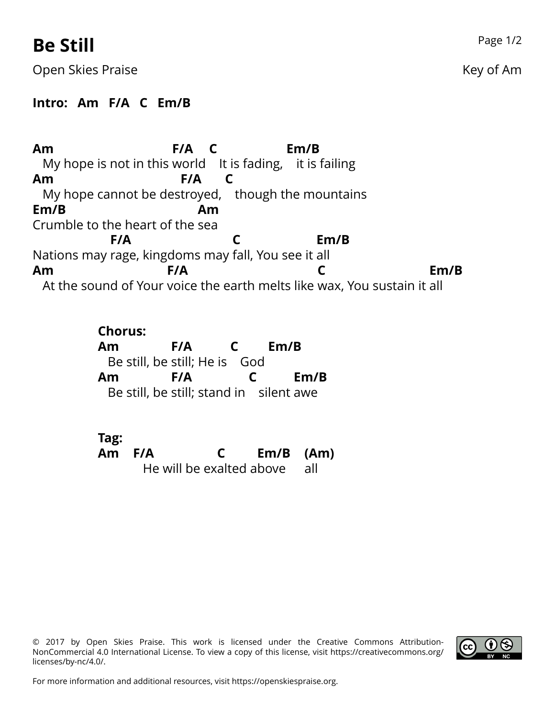## **Be Still** Page 1/2

Open Skies Praise New York Changes and the Changes of American Science American Science American Science American Science American Science American Science American Science American Science American Science American Scienc

### **Intro: Am F/A C Em/B**

**Am** My hope is not in this world It is fading, it is failing **F/A C Em/B Am** My hope cannot be des troyed, though the mountains **F/A C Em/B** Crumble to the heart of the sea **Am** Nations may rage, kingdoms may fall, You see it all **F/A C Em/B Am** At the sound of Your voice the earth melts like wax, You sustain it all **F/A C Em/B**

> **Chorus: Am** Be still, be still; He is God **F/A C Em/B Am** Be still, be still; stand in silent awe **F/A C Em/B**

**Tag: Am F/A** He will be ex alted a bove **C Em/B (Am)** all

© 2017 by Open Skies Praise. This work is licensed under the Creative Commons Attribution-NonCommercial 4.0 International License. To view a copy of this license, visit https://creativecommons.org/ licenses/by-nc/4.0/.